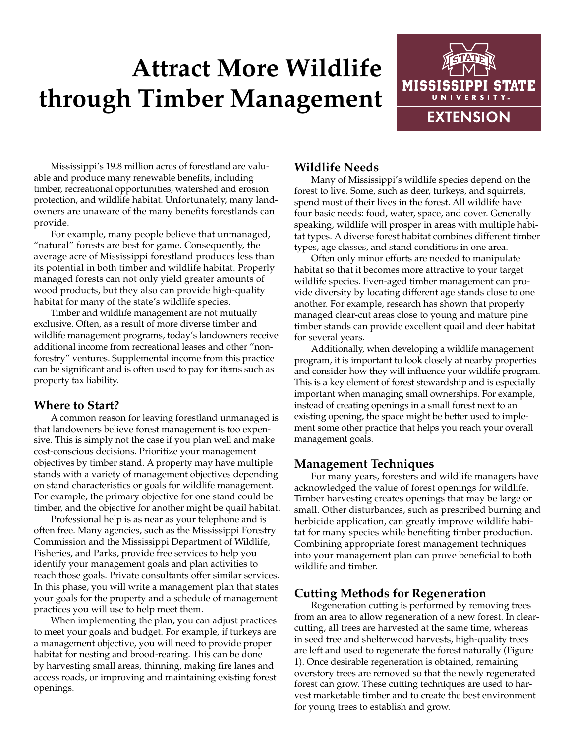# **Attract More Wildlife through Timber Management**



Mississippi's 19.8 million acres of forestland are valuable and produce many renewable benefits, including timber, recreational opportunities, watershed and erosion protection, and wildlife habitat. Unfortunately, many landowners are unaware of the many benefits forestlands can provide.

For example, many people believe that unmanaged, "natural" forests are best for game. Consequently, the average acre of Mississippi forestland produces less than its potential in both timber and wildlife habitat. Properly managed forests can not only yield greater amounts of wood products, but they also can provide high-quality habitat for many of the state's wildlife species.

Timber and wildlife management are not mutually exclusive. Often, as a result of more diverse timber and wildlife management programs, today's landowners receive additional income from recreational leases and other "nonforestry" ventures. Supplemental income from this practice can be significant and is often used to pay for items such as property tax liability.

# **Where to Start?**

A common reason for leaving forestland unmanaged is that landowners believe forest management is too expensive. This is simply not the case if you plan well and make cost-conscious decisions. Prioritize your management objectives by timber stand. A property may have multiple stands with a variety of management objectives depending on stand characteristics or goals for wildlife management. For example, the primary objective for one stand could be timber, and the objective for another might be quail habitat.

Professional help is as near as your telephone and is often free. Many agencies, such as the Mississippi Forestry Commission and the Mississippi Department of Wildlife, Fisheries, and Parks, provide free services to help you identify your management goals and plan activities to reach those goals. Private consultants offer similar services. In this phase, you will write a management plan that states your goals for the property and a schedule of management practices you will use to help meet them.

When implementing the plan, you can adjust practices to meet your goals and budget. For example, if turkeys are a management objective, you will need to provide proper habitat for nesting and brood-rearing. This can be done by harvesting small areas, thinning, making fire lanes and access roads, or improving and maintaining existing forest openings.

# **Wildlife Needs**

Many of Mississippi's wildlife species depend on the forest to live. Some, such as deer, turkeys, and squirrels, spend most of their lives in the forest. All wildlife have four basic needs: food, water, space, and cover. Generally speaking, wildlife will prosper in areas with multiple habitat types. A diverse forest habitat combines different timber types, age classes, and stand conditions in one area.

Often only minor efforts are needed to manipulate habitat so that it becomes more attractive to your target wildlife species. Even-aged timber management can provide diversity by locating different age stands close to one another. For example, research has shown that properly managed clear-cut areas close to young and mature pine timber stands can provide excellent quail and deer habitat for several years.

Additionally, when developing a wildlife management program, it is important to look closely at nearby properties and consider how they will influence your wildlife program. This is a key element of forest stewardship and is especially important when managing small ownerships. For example, instead of creating openings in a small forest next to an existing opening, the space might be better used to implement some other practice that helps you reach your overall management goals.

# **Management Techniques**

For many years, foresters and wildlife managers have acknowledged the value of forest openings for wildlife. Timber harvesting creates openings that may be large or small. Other disturbances, such as prescribed burning and herbicide application, can greatly improve wildlife habitat for many species while benefiting timber production. Combining appropriate forest management techniques into your management plan can prove beneficial to both wildlife and timber.

# **Cutting Methods for Regeneration**

Regeneration cutting is performed by removing trees from an area to allow regeneration of a new forest. In clearcutting, all trees are harvested at the same time, whereas in seed tree and shelterwood harvests, high-quality trees are left and used to regenerate the forest naturally (Figure 1). Once desirable regeneration is obtained, remaining overstory trees are removed so that the newly regenerated forest can grow. These cutting techniques are used to harvest marketable timber and to create the best environment for young trees to establish and grow.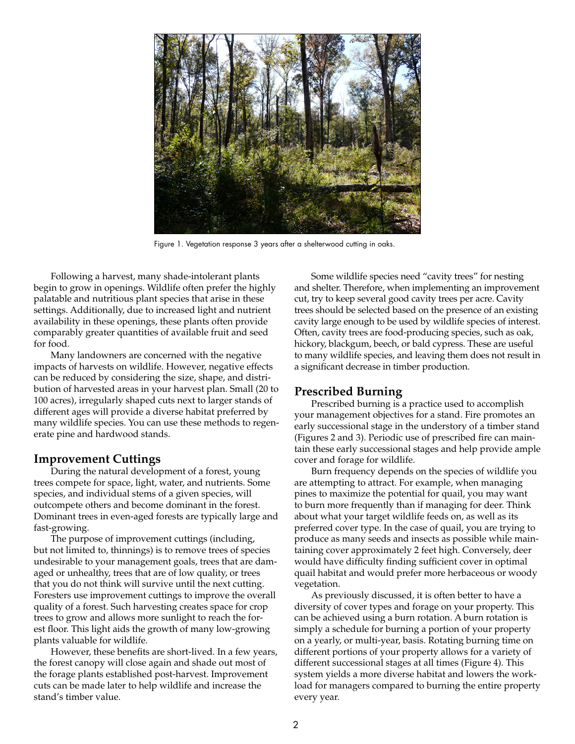

Figure 1. Vegetation response 3 years after a shelterwood cutting in oaks.

Following a harvest, many shade-intolerant plants begin to grow in openings. Wildlife often prefer the highly palatable and nutritious plant species that arise in these settings. Additionally, due to increased light and nutrient availability in these openings, these plants often provide comparably greater quantities of available fruit and seed for food.

Many landowners are concerned with the negative impacts of harvests on wildlife. However, negative effects can be reduced by considering the size, shape, and distribution of harvested areas in your harvest plan. Small (20 to 100 acres), irregularly shaped cuts next to larger stands of different ages will provide a diverse habitat preferred by many wildlife species. You can use these methods to regenerate pine and hardwood stands.

#### **Improvement Cuttings**

During the natural development of a forest, young trees compete for space, light, water, and nutrients. Some species, and individual stems of a given species, will outcompete others and become dominant in the forest. Dominant trees in even-aged forests are typically large and fast-growing.

The purpose of improvement cuttings (including, but not limited to, thinnings) is to remove trees of species undesirable to your management goals, trees that are damaged or unhealthy, trees that are of low quality, or trees that you do not think will survive until the next cutting. Foresters use improvement cuttings to improve the overall quality of a forest. Such harvesting creates space for crop trees to grow and allows more sunlight to reach the forest floor. This light aids the growth of many low-growing plants valuable for wildlife.

However, these benefits are short-lived. In a few years, the forest canopy will close again and shade out most of the forage plants established post-harvest. Improvement cuts can be made later to help wildlife and increase the stand's timber value.

Some wildlife species need "cavity trees" for nesting and shelter. Therefore, when implementing an improvement cut, try to keep several good cavity trees per acre. Cavity trees should be selected based on the presence of an existing cavity large enough to be used by wildlife species of interest. Often, cavity trees are food-producing species, such as oak, hickory, blackgum, beech, or bald cypress. These are useful to many wildlife species, and leaving them does not result in a significant decrease in timber production.

#### **Prescribed Burning**

Prescribed burning is a practice used to accomplish your management objectives for a stand. Fire promotes an early successional stage in the understory of a timber stand (Figures 2 and 3). Periodic use of prescribed fire can maintain these early successional stages and help provide ample cover and forage for wildlife.

Burn frequency depends on the species of wildlife you are attempting to attract. For example, when managing pines to maximize the potential for quail, you may want to burn more frequently than if managing for deer. Think about what your target wildlife feeds on, as well as its preferred cover type. In the case of quail, you are trying to produce as many seeds and insects as possible while maintaining cover approximately 2 feet high. Conversely, deer would have difficulty finding sufficient cover in optimal quail habitat and would prefer more herbaceous or woody vegetation.

As previously discussed, it is often better to have a diversity of cover types and forage on your property. This can be achieved using a burn rotation. A burn rotation is simply a schedule for burning a portion of your property on a yearly, or multi-year, basis. Rotating burning time on different portions of your property allows for a variety of different successional stages at all times (Figure 4). This system yields a more diverse habitat and lowers the workload for managers compared to burning the entire property every year.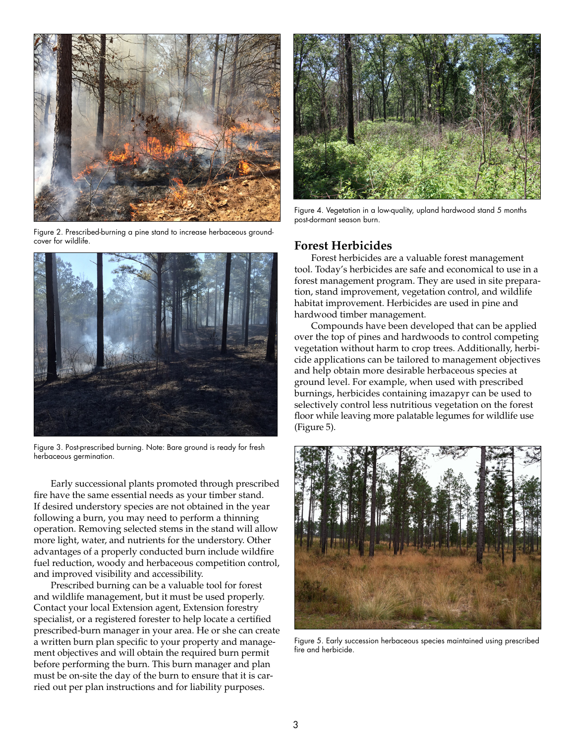

Figure 2. Prescribed-burning a pine stand to increase herbaceous groundcover for wildlife.



Figure 3. Post-prescribed burning. Note: Bare ground is ready for fresh herbaceous germination.

Early successional plants promoted through prescribed fire have the same essential needs as your timber stand. If desired understory species are not obtained in the year following a burn, you may need to perform a thinning operation. Removing selected stems in the stand will allow more light, water, and nutrients for the understory. Other advantages of a properly conducted burn include wildfire fuel reduction, woody and herbaceous competition control, and improved visibility and accessibility.

Prescribed burning can be a valuable tool for forest and wildlife management, but it must be used properly. Contact your local Extension agent, Extension forestry specialist, or a registered forester to help locate a certified prescribed-burn manager in your area. He or she can create a written burn plan specific to your property and management objectives and will obtain the required burn permit before performing the burn. This burn manager and plan must be on-site the day of the burn to ensure that it is carried out per plan instructions and for liability purposes.



Figure 4. Vegetation in a low-quality, upland hardwood stand 5 months post-dormant season burn.

#### **Forest Herbicides**

Forest herbicides are a valuable forest management tool. Today's herbicides are safe and economical to use in a forest management program. They are used in site preparation, stand improvement, vegetation control, and wildlife habitat improvement. Herbicides are used in pine and hardwood timber management.

Compounds have been developed that can be applied over the top of pines and hardwoods to control competing vegetation without harm to crop trees. Additionally, herbicide applications can be tailored to management objectives and help obtain more desirable herbaceous species at ground level. For example, when used with prescribed burnings, herbicides containing imazapyr can be used to selectively control less nutritious vegetation on the forest floor while leaving more palatable legumes for wildlife use (Figure 5).



Figure 5. Early succession herbaceous species maintained using prescribed fire and herbicide.